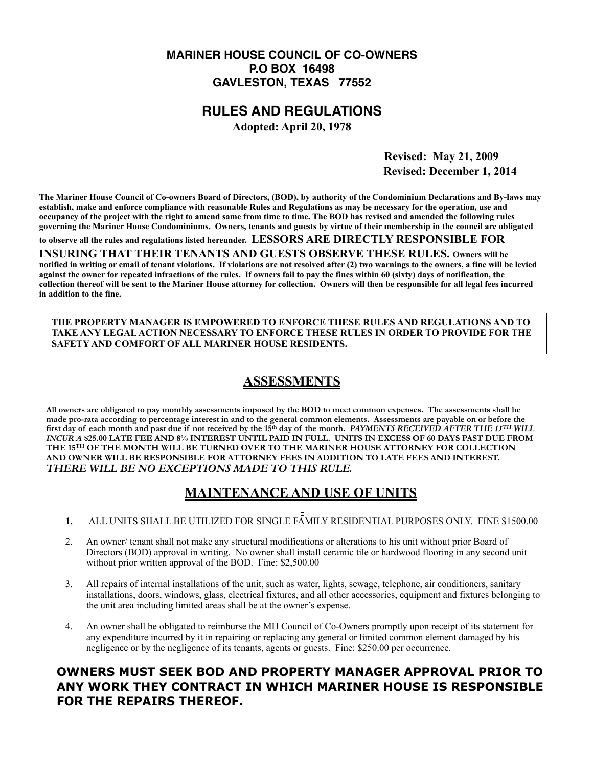### **MARINER HOUSE COUNCIL OF CO-OWNERS P.O BOX 16498 GAVLESTON, TEXAS 77552**

### **RULES AND REGULATIONS**

**Adopted: April 20, 1978**

 **Revised: May 21, 2009 Revised: December 1, 2014** 

**The Mariner House Council of Co-owners Board of Directors, (BOD), by authority of the Condominium Declarations and By-laws may establish, make and enforce compliance with reasonable Rules and Regulations as may be necessary for the operation, use and occupancy of the project with the right to amend same from time to time. The BOD has revised and amended the following rules governing the Mariner House Condominiums. Owners, tenants and guests by virtue of their membership in the council are obligated** 

**to observe all the rules and regulations listed hereunder. LESSORS ARE DIRECTLY RESPONSIBLE FOR** 

**INSURING THAT THEIR TENANTS AND GUESTS OBSERVE THESE RULES. Owners will be notified in writing or email of tenant violations. If violations are not resolved after (2) two warnings to the owners, a fine will be levied against the owner for repeated infractions of the rules. If owners fail to pay the fines within 60 (sixty) days of notification, the collection thereof will be sent to the Mariner House attorney for collection. Owners will then be responsible for all legal fees incurred in addition to the fine.** 

**THE PROPERTY MANAGER IS EMPOWERED TO ENFORCE THESE RULES AND REGULATIONS AND TO TAKE ANY LEGAL ACTION NECESSARY TO ENFORCE THESE RULES IN ORDER TO PROVIDE FOR THE SAFETY AND COMFORT OF ALL MARINER HOUSE RESIDENTS.**

# **ASSESSMENTS**

**All owners are obligated to pay monthly assessments imposed by the BOD to meet common expenses. The assessments shall be made pro-rata according to percentage interest in and to the general common elements. Assessments are payable on or before the first day of each month and past due if not received by the 15th day of the month.** *PAYMENTS RECEIVED AFTER THE 15TH WILL INCUR A* **\$25.00 LATE FEE AND 8% INTEREST UNTIL PAID IN FULL. UNITS IN EXCESS OF 60 DAYS PAST DUE FROM THE 15TH OF THE MONTH WILL BE TURNED OVER TO THE MARINER HOUSE ATTORNEY FOR COLLECTION AND OWNER WILL BE RESPONSIBLE FOR ATTORNEY FEES IN ADDITION TO LATE FEES AND INTEREST.**  *THERE WILL BE NO EXCEPTIONS MADE TO THIS RULE.* 

## **MAINTENANCE AND USE OF UNITS**

**1.** ALL UNITS SHALL BE UTILIZED FOR SINGLE FAMILY RESIDENTIAL PURPOSES ONLY. FINE \$1500.00

- 2. An owner/ tenant shall not make any structural modifications or alterations to his unit without prior Board of Directors (BOD) approval in writing. No owner shall install ceramic tile or hardwood flooring in any second unit without prior written approval of the BOD. Fine: \$2,500.00
- 3. All repairs of internal installations of the unit, such as water, lights, sewage, telephone, air conditioners, sanitary installations, doors, windows, glass, electrical fixtures, and all other accessories, equipment and fixtures belonging to the unit area including limited areas shall be at the owner's expense.
- 4. An owner shall be obligated to reimburse the MH Council of Co-Owners promptly upon receipt of its statement for any expenditure incurred by it in repairing or replacing any general or limited common element damaged by his negligence or by the negligence of its tenants, agents or guests. Fine: \$250.00 per occurrence.

## **OWNERS MUST SEEK BOD AND PROPERTY MANAGER APPROVAL PRIOR TO ANY WORK THEY CONTRACT IN WHICH MARINER HOUSE IS RESPONSIBLE FOR THE REPAIRS THEREOF.**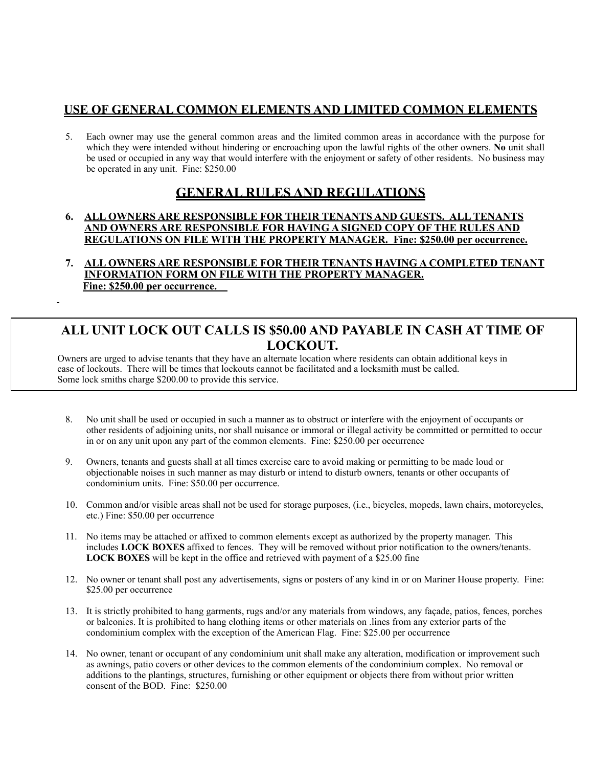### **USE OF GENERAL COMMON ELEMENTS AND LIMITED COMMON ELEMENTS**

5. Each owner may use the general common areas and the limited common areas in accordance with the purpose for which they were intended without hindering or encroaching upon the lawful rights of the other owners. **No** unit shall be used or occupied in any way that would interfere with the enjoyment or safety of other residents. No business may be operated in any unit. Fine: \$250.00

## **GENERAL RULES AND REGULATIONS**

#### **6. ALL OWNERS ARE RESPONSIBLE FOR THEIR TENANTS AND GUESTS. ALL TENANTS AND OWNERS ARE RESPONSIBLE FOR HAVING A SIGNED COPY OF THE RULES AND REGULATIONS ON FILE WITH THE PROPERTY MANAGER. Fine: \$250.00 per occurrence.**

**7. ALL OWNERS ARE RESPONSIBLE FOR THEIR TENANTS HAVING A COMPLETED TENANT INFORMATION FORM ON FILE WITH THE PROPERTY MANAGER. Fine: \$250.00 per occurrence.** 

## **ALL UNIT LOCK OUT CALLS IS \$50.00 AND PAYABLE IN CASH AT TIME OF LOCKOUT.**

 Owners are urged to advise tenants that they have an alternate location where residents can obtain additional keys in case of lockouts. There will be times that lockouts cannot be facilitated and a locksmith must be called. Some lock smiths charge \$200.00 to provide this service.

- 8. No unit shall be used or occupied in such a manner as to obstruct or interfere with the enjoyment of occupants or other residents of adjoining units, nor shall nuisance or immoral or illegal activity be committed or permitted to occur in or on any unit upon any part of the common elements. Fine: \$250.00 per occurrence
- 9. Owners, tenants and guests shall at all times exercise care to avoid making or permitting to be made loud or objectionable noises in such manner as may disturb or intend to disturb owners, tenants or other occupants of condominium units. Fine: \$50.00 per occurrence.
- 10. Common and/or visible areas shall not be used for storage purposes, (i.e., bicycles, mopeds, lawn chairs, motorcycles, etc.) Fine: \$50.00 per occurrence
- 11. No items may be attached or affixed to common elements except as authorized by the property manager. This includes **LOCK BOXES** affixed to fences. They will be removed without prior notification to the owners/tenants. **LOCK BOXES** will be kept in the office and retrieved with payment of a \$25.00 fine
- 12. No owner or tenant shall post any advertisements, signs or posters of any kind in or on Mariner House property. Fine: \$25.00 per occurrence
- 13. It is strictly prohibited to hang garments, rugs and/or any materials from windows, any façade, patios, fences, porches or balconies. It is prohibited to hang clothing items or other materials on .lines from any exterior parts of the condominium complex with the exception of the American Flag. Fine: \$25.00 per occurrence
- 14. No owner, tenant or occupant of any condominium unit shall make any alteration, modification or improvement such as awnings, patio covers or other devices to the common elements of the condominium complex. No removal or additions to the plantings, structures, furnishing or other equipment or objects there from without prior written consent of the BOD. Fine: \$250.00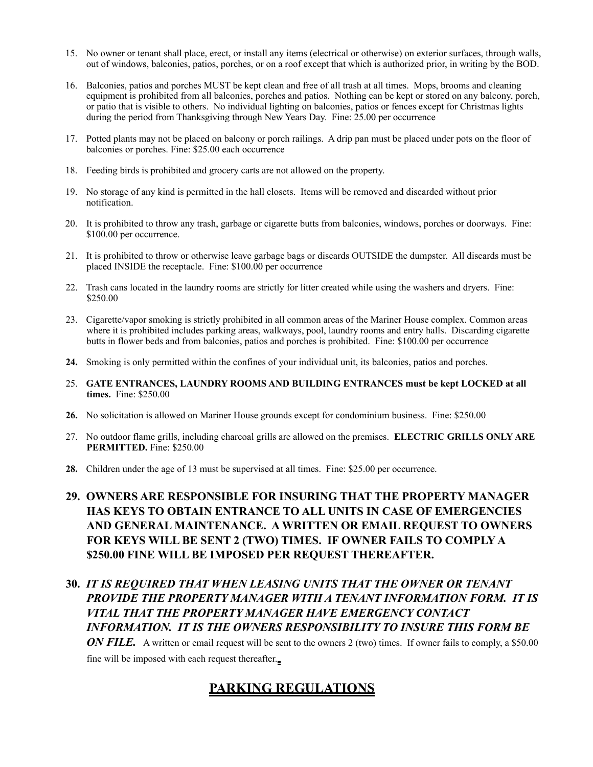- 15. No owner or tenant shall place, erect, or install any items (electrical or otherwise) on exterior surfaces, through walls, out of windows, balconies, patios, porches, or on a roof except that which is authorized prior, in writing by the BOD.
- 16. Balconies, patios and porches MUST be kept clean and free of all trash at all times. Mops, brooms and cleaning equipment is prohibited from all balconies, porches and patios. Nothing can be kept or stored on any balcony, porch, or patio that is visible to others. No individual lighting on balconies, patios or fences except for Christmas lights during the period from Thanksgiving through New Years Day. Fine: 25.00 per occurrence
- 17. Potted plants may not be placed on balcony or porch railings. A drip pan must be placed under pots on the floor of balconies or porches. Fine: \$25.00 each occurrence
- 18. Feeding birds is prohibited and grocery carts are not allowed on the property.
- 19. No storage of any kind is permitted in the hall closets. Items will be removed and discarded without prior notification.
- 20. It is prohibited to throw any trash, garbage or cigarette butts from balconies, windows, porches or doorways. Fine: \$100.00 per occurrence.
- 21. It is prohibited to throw or otherwise leave garbage bags or discards OUTSIDE the dumpster. All discards must be placed INSIDE the receptacle.Fine: \$100.00 per occurrence
- 22. Trash cans located in the laundry rooms are strictly for litter created while using the washers and dryers. Fine: \$250.00
- 23. Cigarette/vapor smoking is strictly prohibited in all common areas of the Mariner House complex. Common areas where it is prohibited includes parking areas, walkways, pool, laundry rooms and entry halls. Discarding cigarette butts in flower beds and from balconies, patios and porches is prohibited. Fine: \$100.00 per occurrence
- **24.** Smoking is only permitted within the confines of your individual unit, its balconies, patios and porches.
- 25. **GATE ENTRANCES, LAUNDRY ROOMS AND BUILDING ENTRANCES must be kept LOCKED at all times.** Fine: \$250.00
- **26.** No solicitation is allowed on Mariner House grounds except for condominium business. Fine: \$250.00
- 27. No outdoor flame grills, including charcoal grills are allowed on the premises. **ELECTRIC GRILLS ONLY ARE PERMITTED.** Fine: \$250.00
- **28.** Children under the age of 13 must be supervised at all times. Fine: \$25.00 per occurrence.
- **29. OWNERS ARE RESPONSIBLE FOR INSURING THAT THE PROPERTY MANAGER HAS KEYS TO OBTAIN ENTRANCE TO ALL UNITS IN CASE OF EMERGENCIES AND GENERAL MAINTENANCE. A WRITTEN OR EMAIL REQUEST TO OWNERS FOR KEYS WILL BE SENT 2 (TWO) TIMES. IF OWNER FAILS TO COMPLY A \$250.00 FINE WILL BE IMPOSED PER REQUEST THEREAFTER.**
- **30.** *IT IS REQUIRED THAT WHEN LEASING UNITS THAT THE OWNER OR TENANT PROVIDE THE PROPERTY MANAGER WITH A TENANT INFORMATION FORM. IT IS VITAL THAT THE PROPERTY MANAGER HAVE EMERGENCY CONTACT INFORMATION. IT IS THE OWNERS RESPONSIBILITY TO INSURE THIS FORM BE*

*ON FILE.* A written or email request will be sent to the owners 2 (two) times. If owner fails to comply, a \$50.00 fine will be imposed with each request thereafter.

## **PARKING REGULATIONS**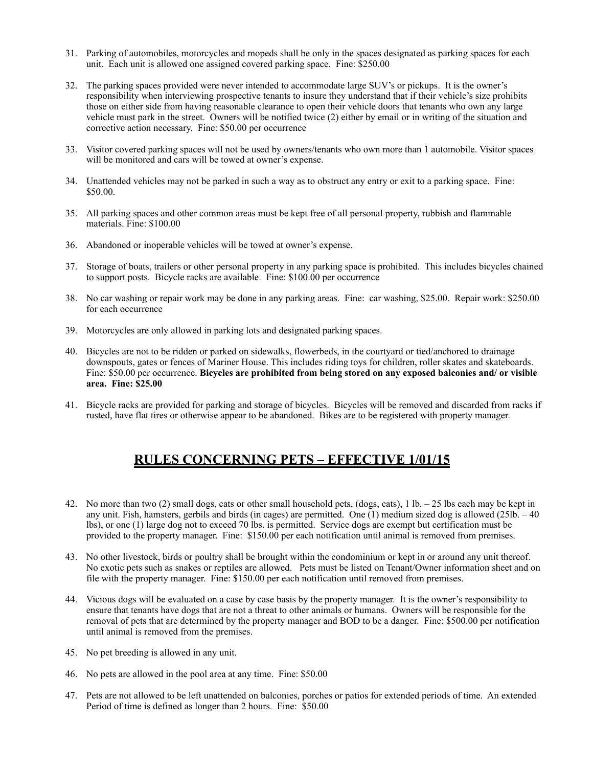- 31. Parking of automobiles, motorcycles and mopeds shall be only in the spaces designated as parking spaces for each unit. Each unit is allowed one assigned covered parking space. Fine: \$250.00
- 32. The parking spaces provided were never intended to accommodate large SUV's or pickups. It is the owner's responsibility when interviewing prospective tenants to insure they understand that if their vehicle's size prohibits those on either side from having reasonable clearance to open their vehicle doors that tenants who own any large vehicle must park in the street. Owners will be notified twice (2) either by email or in writing of the situation and corrective action necessary. Fine: \$50.00 per occurrence
- 33. Visitor covered parking spaces will not be used by owners/tenants who own more than 1 automobile. Visitor spaces will be monitored and cars will be towed at owner's expense.
- 34. Unattended vehicles may not be parked in such a way as to obstruct any entry or exit to a parking space. Fine: \$50.00.
- 35. All parking spaces and other common areas must be kept free of all personal property, rubbish and flammable materials. Fine: \$100.00
- 36. Abandoned or inoperable vehicles will be towed at owner's expense.
- 37. Storage of boats, trailers or other personal property in any parking space is prohibited. This includes bicycles chained to support posts. Bicycle racks are available. Fine: \$100.00 per occurrence
- 38. No car washing or repair work may be done in any parking areas. Fine: car washing, \$25.00. Repair work: \$250.00 for each occurrence
- 39. Motorcycles are only allowed in parking lots and designated parking spaces.
- 40. Bicycles are not to be ridden or parked on sidewalks, flowerbeds, in the courtyard or tied/anchored to drainage downspouts, gates or fences of Mariner House. This includes riding toys for children, roller skates and skateboards. Fine: \$50.00 per occurrence. **Bicycles are prohibited from being stored on any exposed balconies and/ or visible area. Fine: \$25.00**
- 41. Bicycle racks are provided for parking and storage of bicycles. Bicycles will be removed and discarded from racks if rusted, have flat tires or otherwise appear to be abandoned. Bikes are to be registered with property manager.

# **RULES CONCERNING PETS – EFFECTIVE 1/01/15**

- 42. No more than two (2) small dogs, cats or other small household pets, (dogs, cats),  $1 \text{ lb} 25 \text{ lbs}$  each may be kept in any unit. Fish, hamsters, gerbils and birds (in cages) are permitted. One (1) medium sized dog is allowed (25lb. – 40 lbs), or one (1) large dog not to exceed 70 lbs. is permitted. Service dogs are exempt but certification must be provided to the property manager. Fine: \$150.00 per each notification until animal is removed from premises.
- 43. No other livestock, birds or poultry shall be brought within the condominium or kept in or around any unit thereof. No exotic pets such as snakes or reptiles are allowed. Pets must be listed on Tenant/Owner information sheet and on file with the property manager. Fine: \$150.00 per each notification until removed from premises.
- 44. Vicious dogs will be evaluated on a case by case basis by the property manager. It is the owner's responsibility to ensure that tenants have dogs that are not a threat to other animals or humans. Owners will be responsible for the removal of pets that are determined by the property manager and BOD to be a danger. Fine: \$500.00 per notification until animal is removed from the premises.
- 45. No pet breeding is allowed in any unit.
- 46. No pets are allowed in the pool area at any time. Fine: \$50.00
- 47. Pets are not allowed to be left unattended on balconies, porches or patios for extended periods of time. An extended Period of time is defined as longer than 2 hours. Fine: \$50.00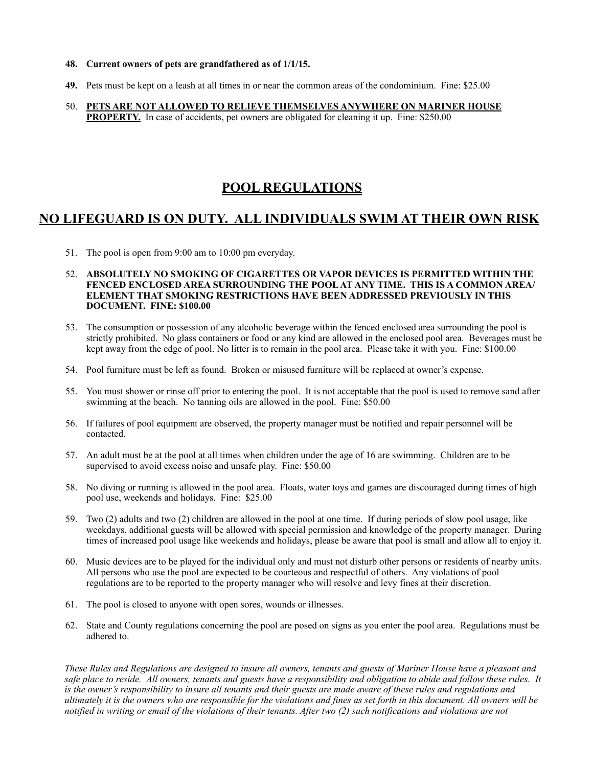- **48. Current owners of pets are grandfathered as of 1/1/15.**
- **49.** Pets must be kept on a leash at all times in or near the common areas of the condominium. Fine: \$25.00
- 50. **PETS ARE NOT ALLOWED TO RELIEVE THEMSELVES ANYWHERE ON MARINER HOUSE PROPERTY.** In case of accidents, pet owners are obligated for cleaning it up. Fine: \$250.00

## **POOL REGULATIONS**

## **NO LIFEGUARD IS ON DUTY. ALL INDIVIDUALS SWIM AT THEIR OWN RISK**

51. The pool is open from 9:00 am to 10:00 pm everyday.

#### 52. **ABSOLUTELY NO SMOKING OF CIGARETTES OR VAPOR DEVICES IS PERMITTED WITHIN THE FENCED ENCLOSED AREA SURROUNDING THE POOL AT ANY TIME. THIS IS A COMMON AREA/ ELEMENT THAT SMOKING RESTRICTIONS HAVE BEEN ADDRESSED PREVIOUSLY IN THIS DOCUMENT. FINE: \$100.00**

- 53. The consumption or possession of any alcoholic beverage within the fenced enclosed area surrounding the pool is strictly prohibited. No glass containers or food or any kind are allowed in the enclosed pool area. Beverages must be kept away from the edge of pool. No litter is to remain in the pool area. Please take it with you. Fine: \$100.00
- 54. Pool furniture must be left as found. Broken or misused furniture will be replaced at owner's expense.
- 55. You must shower or rinse off prior to entering the pool. It is not acceptable that the pool is used to remove sand after swimming at the beach. No tanning oils are allowed in the pool. Fine: \$50.00
- 56. If failures of pool equipment are observed, the property manager must be notified and repair personnel will be contacted.
- 57. An adult must be at the pool at all times when children under the age of 16 are swimming. Children are to be supervised to avoid excess noise and unsafe play. Fine: \$50.00
- 58. No diving or running is allowed in the pool area. Floats, water toys and games are discouraged during times of high pool use, weekends and holidays. Fine: \$25.00
- 59. Two (2) adults and two (2) children are allowed in the pool at one time. If during periods of slow pool usage, like weekdays, additional guests will be allowed with special permission and knowledge of the property manager. During times of increased pool usage like weekends and holidays, please be aware that pool is small and allow all to enjoy it.
- 60. Music devices are to be played for the individual only and must not disturb other persons or residents of nearby units. All persons who use the pool are expected to be courteous and respectful of others. Any violations of pool regulations are to be reported to the property manager who will resolve and levy fines at their discretion.
- 61. The pool is closed to anyone with open sores, wounds or illnesses.
- 62. State and County regulations concerning the pool are posed on signs as you enter the pool area. Regulations must be adhered to.

*These Rules and Regulations are designed to insure all owners, tenants and guests of Mariner House have a pleasant and safe place to reside. All owners, tenants and guests have a responsibility and obligation to abide and follow these rules. It*  is the owner's responsibility to insure all tenants and their guests are made aware of these rules and regulations and *ultimately it is the owners who are responsible for the violations and fines as set forth in this document. All owners will be notified in writing or email of the violations of their tenants. After two (2) such notifications and violations are not*